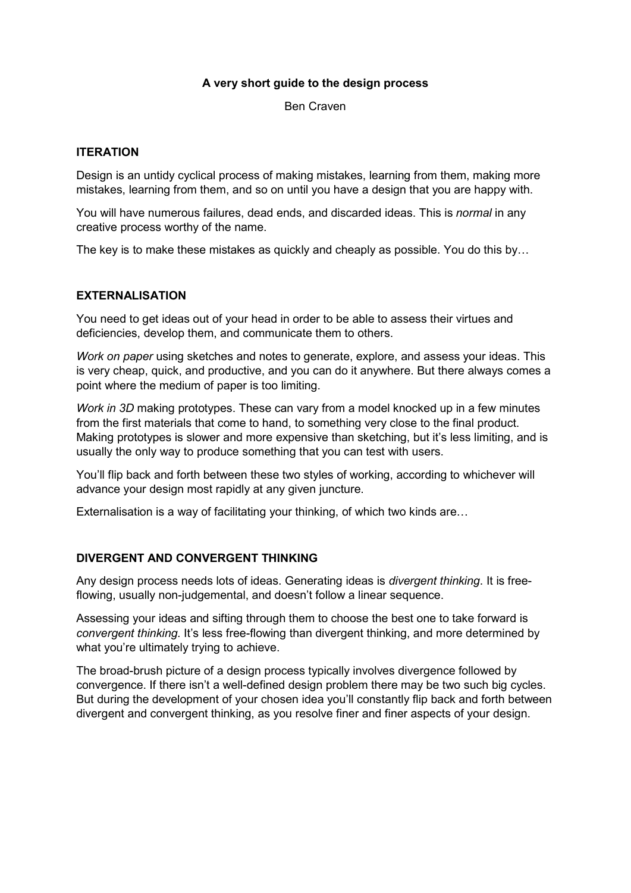# A very short guide to the design process

Ben Craven

# **ITERATION**

Design is an untidy cyclical process of making mistakes, learning from them, making more mistakes, learning from them, and so on until you have a design that you are happy with.

You will have numerous failures, dead ends, and discarded ideas. This is *normal* in any creative process worthy of the name.

The key is to make these mistakes as quickly and cheaply as possible. You do this by…

# EXTERNALISATION

You need to get ideas out of your head in order to be able to assess their virtues and deficiencies, develop them, and communicate them to others.

Work on paper using sketches and notes to generate, explore, and assess your ideas. This is very cheap, quick, and productive, and you can do it anywhere. But there always comes a point where the medium of paper is too limiting.

Work in 3D making prototypes. These can vary from a model knocked up in a few minutes from the first materials that come to hand, to something very close to the final product. Making prototypes is slower and more expensive than sketching, but it's less limiting, and is usually the only way to produce something that you can test with users.

You'll flip back and forth between these two styles of working, according to whichever will advance your design most rapidly at any given juncture.

Externalisation is a way of facilitating your thinking, of which two kinds are…

# DIVERGENT AND CONVERGENT THINKING

Any design process needs lots of ideas. Generating ideas is divergent thinking. It is freeflowing, usually non-judgemental, and doesn't follow a linear sequence.

Assessing your ideas and sifting through them to choose the best one to take forward is convergent thinking. It's less free-flowing than divergent thinking, and more determined by what you're ultimately trying to achieve.

The broad-brush picture of a design process typically involves divergence followed by convergence. If there isn't a well-defined design problem there may be two such big cycles. But during the development of your chosen idea you'll constantly flip back and forth between divergent and convergent thinking, as you resolve finer and finer aspects of your design.